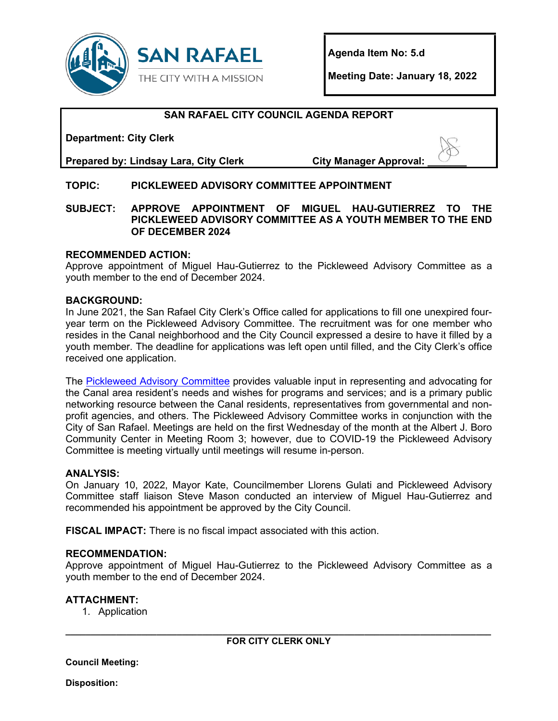

**Agenda Item No: 5.d**

**Meeting Date: January 18, 2022** 

# **SAN RAFAEL CITY COUNCIL AGENDA REPORT**

**Department: City Clerk** 

**Prepared by: Lindsay Lara, City Clerk City Manager Approval: \_\_\_\_\_\_\_**

# **TOPIC: PICKLEWEED ADVISORY COMMITTEE APPOINTMENT**

#### **SUBJECT: APPROVE APPOINTMENT OF MIGUEL HAU-GUTIERREZ TO THE PICKLEWEED ADVISORY COMMITTEE AS A YOUTH MEMBER TO THE END OF DECEMBER 2024**

### **RECOMMENDED ACTION:**

Approve appointment of Miguel Hau-Gutierrez to the Pickleweed Advisory Committee as a youth member to the end of December 2024.

#### **BACKGROUND:**

In June 2021, the San Rafael City Clerk's Office called for applications to fill one unexpired fouryear term on the Pickleweed Advisory Committee. The recruitment was for one member who resides in the Canal neighborhood and the City Council expressed a desire to have it filled by a youth member. The deadline for applications was left open until filled, and the City Clerk's office received one application.

The [Pickleweed Advisory Committee](https://www.cityofsanrafael.org/pickleweed-advisory-committee/) provides valuable input in representing and advocating for the Canal area resident's needs and wishes for programs and services; and is a primary public networking resource between the Canal residents, representatives from governmental and nonprofit agencies, and others. The Pickleweed Advisory Committee works in conjunction with the City of San Rafael. Meetings are held on the first Wednesday of the month at the Albert J. Boro Community Center in Meeting Room 3; however, due to COVID-19 the Pickleweed Advisory Committee is meeting virtually until meetings will resume in-person.

### **ANALYSIS:**

On January 10, 2022, Mayor Kate, Councilmember Llorens Gulati and Pickleweed Advisory Committee staff liaison Steve Mason conducted an interview of Miguel Hau-Gutierrez and recommended his appointment be approved by the City Council.

**FISCAL IMPACT:** There is no fiscal impact associated with this action.

#### **RECOMMENDATION:**

Approve appointment of Miguel Hau-Gutierrez to the Pickleweed Advisory Committee as a youth member to the end of December 2024.

### **ATTACHMENT:**

1. Application

**Council Meeting:**

**Disposition:**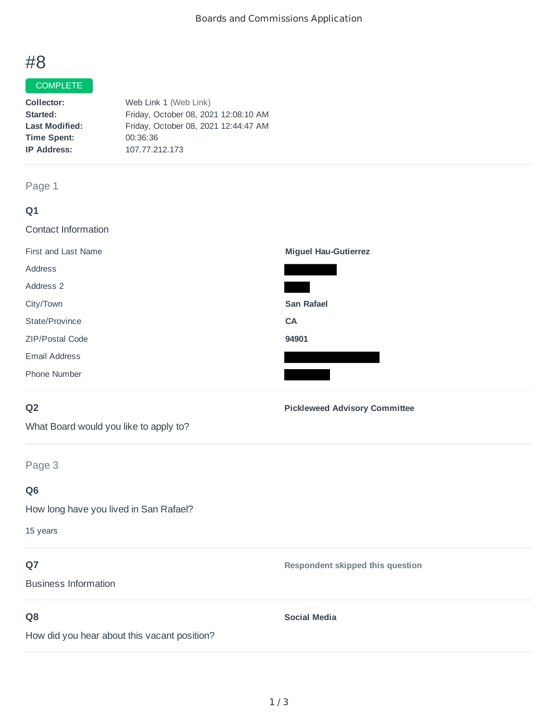# #8

# **COMPLETE**

| Collector:            | Web Link 1 (Web Link)                |
|-----------------------|--------------------------------------|
| Started:              | Friday, October 08, 2021 12:08:10 AM |
| <b>Last Modified:</b> | Friday, October 08, 2021 12:44:47 AM |
| <b>Time Spent:</b>    | 00:36:36                             |
| <b>IP Address:</b>    | 107.77.212.173                       |
|                       |                                      |

# Page 1

| Q1                         |                                      |
|----------------------------|--------------------------------------|
| <b>Contact Information</b> |                                      |
| First and Last Name        | <b>Miguel Hau-Gutierrez</b>          |
| Address                    |                                      |
| Address 2                  |                                      |
| City/Town                  | <b>San Rafael</b>                    |
| State/Province             | <b>CA</b>                            |
| ZIP/Postal Code            | 94901                                |
| <b>Email Address</b>       |                                      |
| Phone Number               |                                      |
| Q <sub>2</sub>             | <b>Pickleweed Advisory Committee</b> |

What Board would you like to apply to?

Page 3

# **Q6**

How long have you lived in San Rafael?

15 years

# **Q7**

Business Information

# **Q8**

How did you hear about this vacant position?

**Social Media**

**Respondent skipped this question**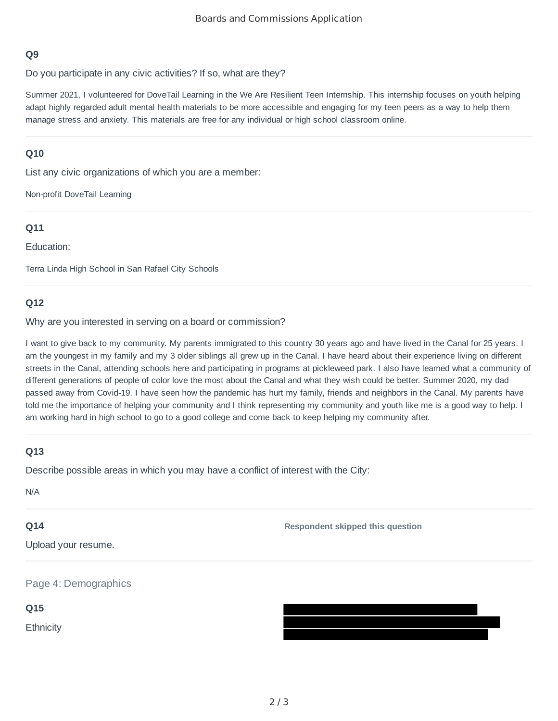# **Q9**

Do you participate in any civic activities? If so, what are they?

Summer 2021, I volunteered for DoveTail Learning in the We Are Resilient Teen Internship. This internship focuses on youth helping adapt highly regarded adult mental health materials to be more accessible and engaging for my teen peers as a way to help them manage stress and anxiety. This materials are free for any individual or high school classroom online.

### **Q10**

List any civic organizations of which you are a member:

Non-profit DoveTail Learning

# **Q11**

Education:

Terra Linda High School in San Rafael City Schools

### **Q12**

Why are you interested in serving on a board or commission?

I want to give back to my community. My parents immigrated to this country 30 years ago and have lived in the Canal for 25 years. I am the youngest in my family and my 3 older siblings all grew up in the Canal. I have heard about their experience living on different streets in the Canal, attending schools here and participating in programs at pickleweed park. I also have learned what a community of different generations of people of color love the most about the Canal and what they wish could be better. Summer 2020, my dad passed away from Covid-19. I have seen how the pandemic has hurt my family, friends and neighbors in the Canal. My parents have told me the importance of helping your community and I think representing my community and youth like me is a good way to help. I am working hard in high school to go to a good college and come back to keep helping my community after.

### **Q13**

Describe possible areas in which you may have a conflict of interest with the City:

N/A

### **Q14**

**Respondent skipped this question**

Upload your resume.

Page 4: Demographics

**Q15**

**Ethnicity**